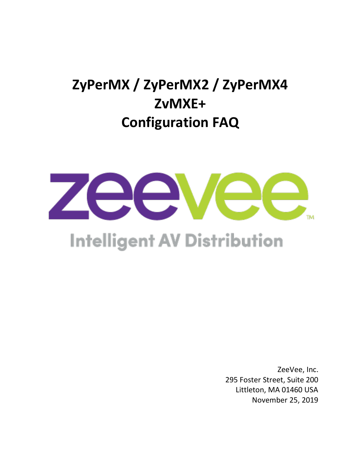# **ZyPerMX / ZyPerMX2 / ZyPerMX4 ZvMXE+ Configuration FAQ**



# **Intelligent AV Distribution**

ZeeVee, Inc. 295 Foster Street, Suite 200 Littleton, MA 01460 USA November 25, 2019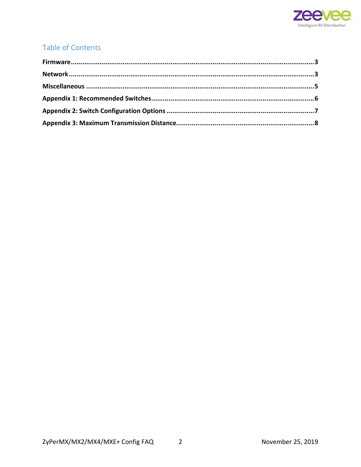

#### Table of Contents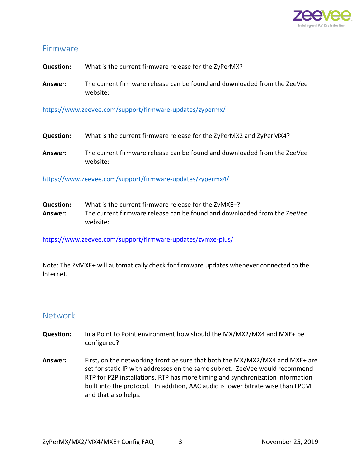

#### <span id="page-2-0"></span>Firmware

**Question:** What is the current firmware release for the ZyPerMX?

**Answer:** The current firmware release can be found and downloaded from the ZeeVee website:

<https://www.zeevee.com/support/firmware-updates/zypermx/>

- **Question:** What is the current firmware release for the ZyPerMX2 and ZyPerMX4?
- **Answer:** The current firmware release can be found and downloaded from the ZeeVee website:

<https://www.zeevee.com/support/firmware-updates/zypermx4/>

**Question:** What is the current firmware release for the ZvMXE+? **Answer:** The current firmware release can be found and downloaded from the ZeeVee website:

<https://www.zeevee.com/support/firmware-updates/zvmxe-plus/>

Note: The ZvMXE+ will automatically check for firmware updates whenever connected to the Internet.

#### <span id="page-2-1"></span>Network

- **Question:** In a Point to Point environment how should the MX/MX2/MX4 and MXE+ be configured?
- **Answer:** First, on the networking front be sure that both the MX/MX2/MX4 and MXE+ are set for static IP with addresses on the same subnet. ZeeVee would recommend RTP for P2P installations. RTP has more timing and synchronization information built into the protocol. In addition, AAC audio is lower bitrate wise than LPCM and that also helps.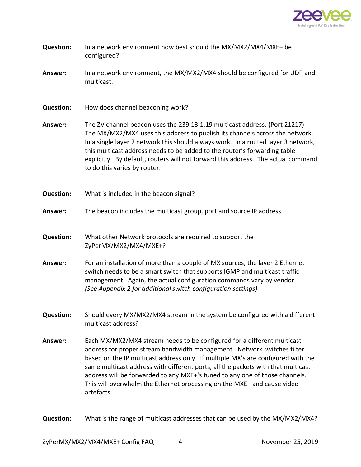

| <b>Question:</b> | In a network environment how best should the MX/MX2/MX4/MXE+ be<br>configured?                                                                                                                                                                                                                                                                                                                                                                                                                     |  |  |
|------------------|----------------------------------------------------------------------------------------------------------------------------------------------------------------------------------------------------------------------------------------------------------------------------------------------------------------------------------------------------------------------------------------------------------------------------------------------------------------------------------------------------|--|--|
| Answer:          | In a network environment, the MX/MX2/MX4 should be configured for UDP and<br>multicast.                                                                                                                                                                                                                                                                                                                                                                                                            |  |  |
| <b>Question:</b> | How does channel beaconing work?                                                                                                                                                                                                                                                                                                                                                                                                                                                                   |  |  |
| Answer:          | The ZV channel beacon uses the 239.13.1.19 multicast address. (Port 21217)<br>The MX/MX2/MX4 uses this address to publish its channels across the network.<br>In a single layer 2 network this should always work. In a routed layer 3 network,<br>this multicast address needs to be added to the router's forwarding table<br>explicitly. By default, routers will not forward this address. The actual command<br>to do this varies by router.                                                  |  |  |
| <b>Question:</b> | What is included in the beacon signal?                                                                                                                                                                                                                                                                                                                                                                                                                                                             |  |  |
| Answer:          | The beacon includes the multicast group, port and source IP address.                                                                                                                                                                                                                                                                                                                                                                                                                               |  |  |
| <b>Question:</b> | What other Network protocols are required to support the<br>ZyPerMX/MX2/MX4/MXE+?                                                                                                                                                                                                                                                                                                                                                                                                                  |  |  |
| Answer:          | For an installation of more than a couple of MX sources, the layer 2 Ethernet<br>switch needs to be a smart switch that supports IGMP and multicast traffic<br>management. Again, the actual configuration commands vary by vendor.<br>(See Appendix 2 for additional switch configuration settings)                                                                                                                                                                                               |  |  |
| <b>Question:</b> | Should every MX/MX2/MX4 stream in the system be configured with a different<br>multicast address?                                                                                                                                                                                                                                                                                                                                                                                                  |  |  |
| Answer:          | Each MX/MX2/MX4 stream needs to be configured for a different multicast<br>address for proper stream bandwidth management. Network switches filter<br>based on the IP multicast address only. If multiple MX's are configured with the<br>same multicast address with different ports, all the packets with that multicast<br>address will be forwarded to any MXE+'s tuned to any one of those channels.<br>This will overwhelm the Ethernet processing on the MXE+ and cause video<br>artefacts. |  |  |

**Question:** What is the range of multicast addresses that can be used by the MX/MX2/MX4?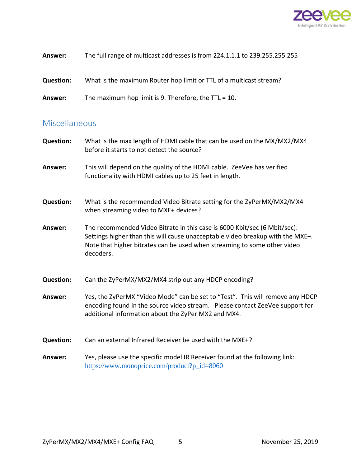

| Answer:          | The full range of multicast addresses is from 224.1.1.1 to 239.255.255.255 |
|------------------|----------------------------------------------------------------------------|
| <b>Question:</b> | What is the maximum Router hop limit or TTL of a multicast stream?         |
| Answer:          | The maximum hop limit is 9. Therefore, the $TTL = 10$ .                    |

#### <span id="page-4-0"></span>Miscellaneous

| <b>Question:</b> | What is the max length of HDMI cable that can be used on the MX/MX2/MX4<br>before it starts to not detect the source?                                                                                                                                |
|------------------|------------------------------------------------------------------------------------------------------------------------------------------------------------------------------------------------------------------------------------------------------|
| Answer:          | This will depend on the quality of the HDMI cable. ZeeVee has verified<br>functionality with HDMI cables up to 25 feet in length.                                                                                                                    |
| <b>Question:</b> | What is the recommended Video Bitrate setting for the ZyPerMX/MX2/MX4<br>when streaming video to MXE+ devices?                                                                                                                                       |
| Answer:          | The recommended Video Bitrate in this case is 6000 Kbit/sec (6 Mbit/sec).<br>Settings higher than this will cause unacceptable video breakup with the MXE+.<br>Note that higher bitrates can be used when streaming to some other video<br>decoders. |
| <b>Question:</b> | Can the ZyPerMX/MX2/MX4 strip out any HDCP encoding?                                                                                                                                                                                                 |
| Answer:          | Yes, the ZyPerMX "Video Mode" can be set to "Test". This will remove any HDCP<br>encoding found in the source video stream. Please contact ZeeVee support for<br>additional information about the ZyPer MX2 and MX4.                                 |
| <b>Question:</b> | Can an external Infrared Receiver be used with the MXE+?                                                                                                                                                                                             |
| Answer:          | Yes, please use the specific model IR Receiver found at the following link:<br>https://www.monoprice.com/product?p_id=8060                                                                                                                           |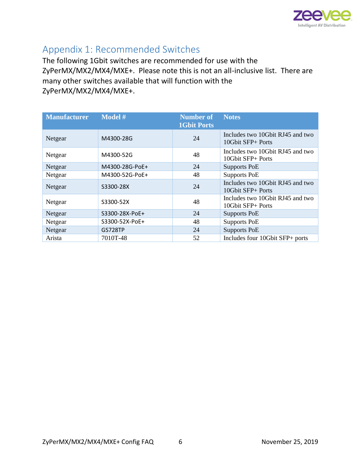

### <span id="page-5-0"></span>Appendix 1: Recommended Switches

The following 1Gbit switches are recommended for use with the ZyPerMX/MX2/MX4/MXE+. Please note this is not an all-inclusive list. There are many other switches available that will function with the ZyPerMX/MX2/MX4/MXE+.

| <b>Manufacturer</b> | Model #        | <b>Number of</b><br><b>1Gbit Ports</b> | <b>Notes</b>                                          |
|---------------------|----------------|----------------------------------------|-------------------------------------------------------|
| Netgear             | M4300-28G      | 24                                     | Includes two 10Gbit RJ45 and two<br>10Gbit SFP+ Ports |
| Netgear             | M4300-52G      | 48                                     | Includes two 10Gbit RJ45 and two<br>10Gbit SFP+ Ports |
| Netgear             | M4300-28G-PoE+ | 24                                     | Supports PoE                                          |
| Netgear             | M4300-52G-PoE+ | 48                                     | <b>Supports PoE</b>                                   |
| Netgear             | S3300-28X      | 24                                     | Includes two 10Gbit RJ45 and two<br>10Gbit SFP+ Ports |
| Netgear             | S3300-52X      | 48                                     | Includes two 10Gbit RJ45 and two<br>10Gbit SFP+ Ports |
| Netgear             | S3300-28X-PoE+ | 24                                     | Supports PoE                                          |
| Netgear             | S3300-52X-PoE+ | 48                                     | Supports PoE                                          |
| Netgear             | <b>GS728TP</b> | 24                                     | <b>Supports PoE</b>                                   |
| Arista              | 7010T-48       | 52                                     | Includes four 10Gbit SFP+ ports                       |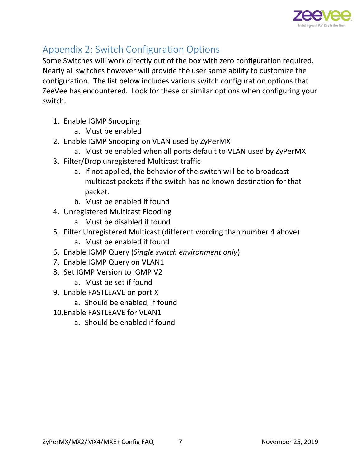

## <span id="page-6-0"></span>Appendix 2: Switch Configuration Options

Some Switches will work directly out of the box with zero configuration required. Nearly all switches however will provide the user some ability to customize the configuration. The list below includes various switch configuration options that ZeeVee has encountered. Look for these or similar options when configuring your switch.

- 1. Enable IGMP Snooping
	- a. Must be enabled
- 2. Enable IGMP Snooping on VLAN used by ZyPerMX
	- a. Must be enabled when all ports default to VLAN used by ZyPerMX
- 3. Filter/Drop unregistered Multicast traffic
	- a. If not applied, the behavior of the switch will be to broadcast multicast packets if the switch has no known destination for that packet.
	- b. Must be enabled if found
- 4. Unregistered Multicast Flooding
	- a. Must be disabled if found
- 5. Filter Unregistered Multicast (different wording than number 4 above)
	- a. Must be enabled if found
- 6. Enable IGMP Query (*Single switch environment only*)
- 7. Enable IGMP Query on VLAN1
- 8. Set IGMP Version to IGMP V2
	- a. Must be set if found
- 9. Enable FASTLEAVE on port X
	- a. Should be enabled, if found
- 10.Enable FASTLEAVE for VLAN1
	- a. Should be enabled if found